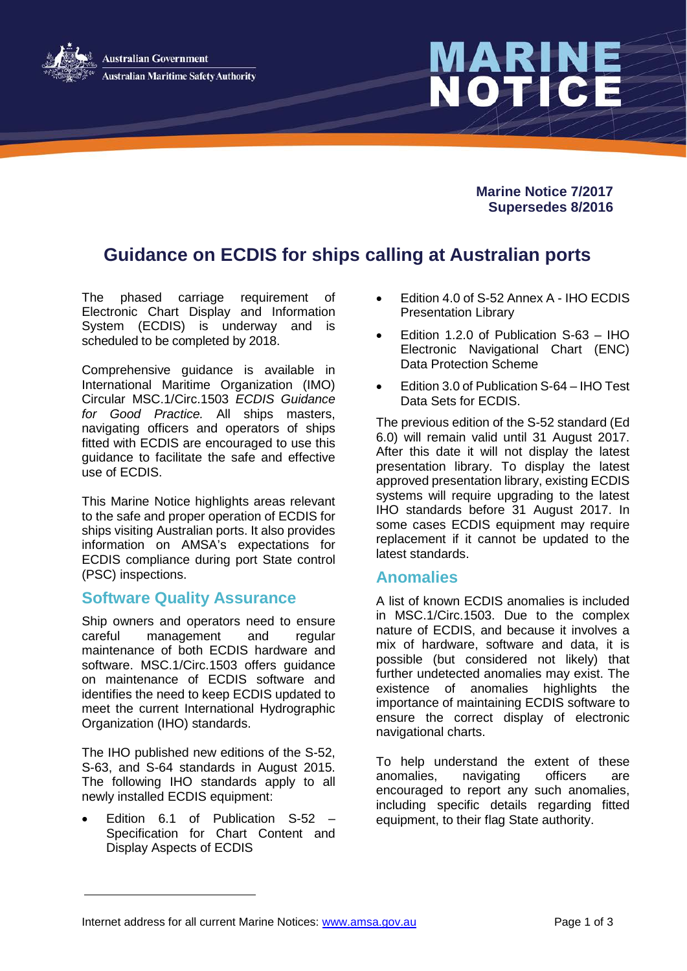

# MARINE<br>NOTICE

**Marine Notice 7/2017 Supersedes 8/2016**

# **Guidance on ECDIS for ships calling at Australian ports**

The phased carriage requirement of Electronic Chart Display and Information System (ECDIS) is underway and is scheduled to be completed by 2018.

Comprehensive guidance is available in International Maritime Organization (IMO) Circular MSC.1/Circ.1503 *ECDIS Guidance for Good Practice.* All ships masters, navigating officers and operators of ships fitted with ECDIS are encouraged to use this guidance to facilitate the safe and effective use of ECDIS.

This Marine Notice highlights areas relevant to the safe and proper operation of ECDIS for ships visiting Australian ports. It also provides information on AMSA's expectations for ECDIS compliance during port State control (PSC) inspections.

### **Software Quality Assurance**

Ship owners and operators need to ensure careful management and regular maintenance of both ECDIS hardware and software. MSC.1/Circ.1503 offers quidance on maintenance of ECDIS software and identifies the need to keep ECDIS updated to meet the current International Hydrographic Organization (IHO) standards.

The IHO published new editions of the S-52, S-63, and S-64 standards in August 2015. The following IHO standards apply to all newly installed ECDIS equipment:

• Edition 6.1 of Publication S-52 – Specification for Chart Content and Display Aspects of ECDIS

- Edition 4.0 of S-52 Annex A IHO ECDIS Presentation Library
- Edition 1.2.0 of Publication S-63 IHO Electronic Navigational Chart (ENC) Data Protection Scheme
- Edition 3.0 of Publication S-64 IHO Test Data Sets for ECDIS.

The previous edition of the S-52 standard (Ed 6.0) will remain valid until 31 August 2017. After this date it will not display the latest presentation library. To display the latest approved presentation library, existing ECDIS systems will require upgrading to the latest IHO standards before 31 August 2017. In some cases ECDIS equipment may require replacement if it cannot be updated to the latest standards.

### **Anomalies**

A list of known ECDIS anomalies is included in MSC.1/Circ.1503. Due to the complex nature of ECDIS, and because it involves a mix of hardware, software and data, it is possible (but considered not likely) that further undetected anomalies may exist. The existence of anomalies highlights the importance of maintaining ECDIS software to ensure the correct display of electronic navigational charts.

To help understand the extent of these anomalies, navigating officers are encouraged to report any such anomalies, including specific details regarding fitted equipment, to their flag State authority.

Internet address for all current Marine Notices: [www.amsa.gov.au](http://www.amsa.gov.au/) Page 1 of 3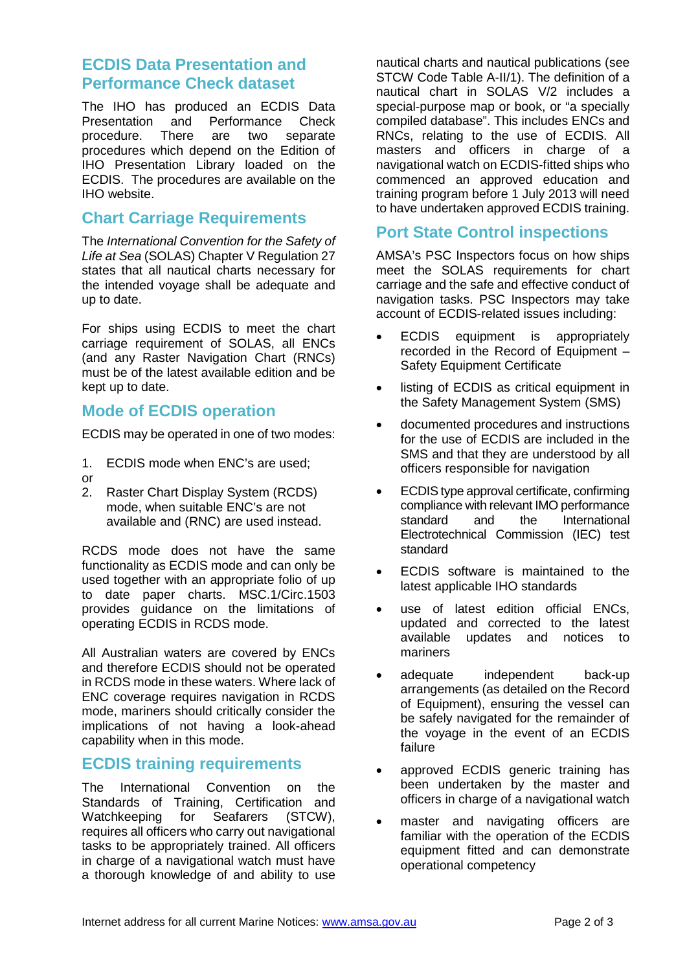## **ECDIS Data Presentation and Performance Check dataset**

The IHO has produced an ECDIS Data Presentation and Performance Check<br>procedure There are two separate procedure. There are two separate procedures which depend on the Edition of IHO Presentation Library loaded on the ECDIS. The procedures are available on the IHO website.

### **Chart Carriage Requirements**

The *International Convention for the Safety of Life at Sea* (SOLAS) Chapter V Regulation 27 states that all nautical charts necessary for the intended voyage shall be adequate and up to date.

For ships using ECDIS to meet the chart carriage requirement of SOLAS, all ENCs (and any Raster Navigation Chart (RNCs) must be of the latest available edition and be kept up to date.

### **Mode of ECDIS operation**

ECDIS may be operated in one of two modes:

- 1. ECDIS mode when ENC's are used;
- or
- 2. Raster Chart Display System (RCDS) mode, when suitable ENC's are not available and (RNC) are used instead.

RCDS mode does not have the same functionality as ECDIS mode and can only be used together with an appropriate folio of up to date paper charts. MSC.1/Circ.1503 provides guidance on the limitations of operating ECDIS in RCDS mode.

All Australian waters are covered by ENCs and therefore ECDIS should not be operated in RCDS mode in these waters. Where lack of ENC coverage requires navigation in RCDS mode, mariners should critically consider the implications of not having a look-ahead capability when in this mode.

### **ECDIS training requirements**

The International Convention on the Standards of Training, Certification and Watchkeeping for Seafarers (STCW), requires all officers who carry out navigational tasks to be appropriately trained. All officers in charge of a navigational watch must have a thorough knowledge of and ability to use

nautical charts and nautical publications (see STCW Code Table A-II/1). The definition of a nautical chart in SOLAS V/2 includes a special-purpose map or book, or "a specially compiled database". This includes ENCs and RNCs, relating to the use of ECDIS. All masters and officers in charge of a navigational watch on ECDIS-fitted ships who commenced an approved education and training program before 1 July 2013 will need to have undertaken approved ECDIS training.

### **Port State Control inspections**

AMSA's PSC Inspectors focus on how ships meet the SOLAS requirements for chart carriage and the safe and effective conduct of navigation tasks. PSC Inspectors may take account of ECDIS-related issues including:

- ECDIS equipment is appropriately recorded in the Record of Equipment – Safety Equipment Certificate
- listing of ECDIS as critical equipment in the Safety Management System (SMS)
- documented procedures and instructions for the use of ECDIS are included in the SMS and that they are understood by all officers responsible for navigation
- ECDIS type approval certificate, confirming compliance with relevant IMO performance standard and the International Electrotechnical Commission (IEC) test standard
- ECDIS software is maintained to the latest applicable IHO standards
- use of latest edition official ENCs, updated and corrected to the latest available updates and notices to mariners
- adequate independent back-up arrangements (as detailed on the Record of Equipment), ensuring the vessel can be safely navigated for the remainder of the voyage in the event of an ECDIS failure
- approved ECDIS generic training has been undertaken by the master and officers in charge of a navigational watch
- master and navigating officers are familiar with the operation of the ECDIS equipment fitted and can demonstrate operational competency